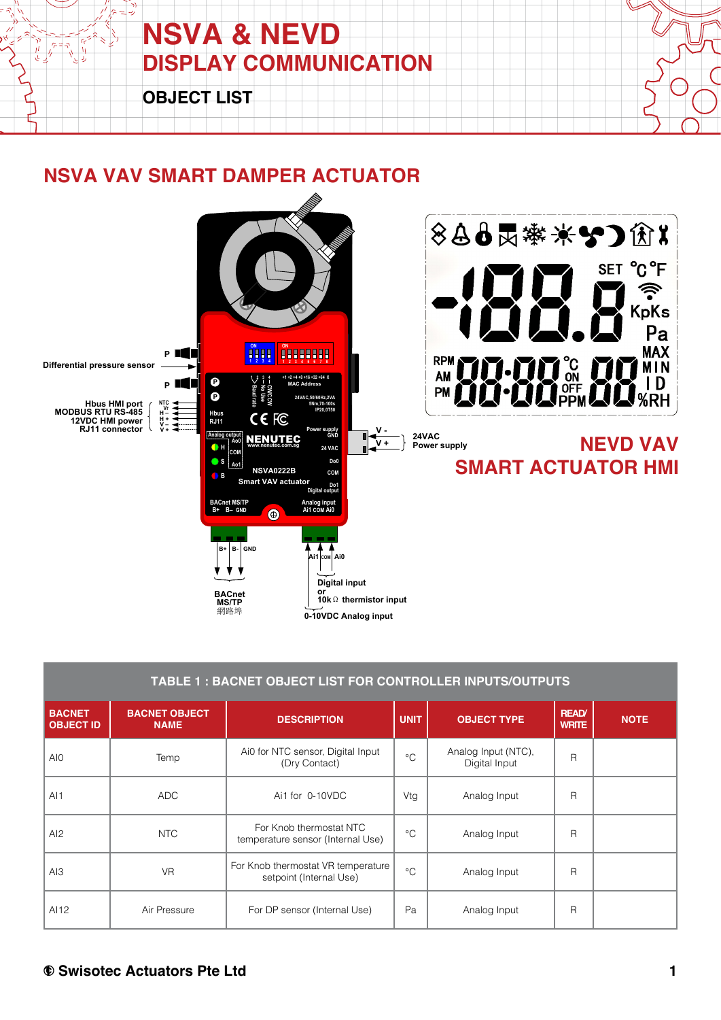

#### **NSVA VAV SMART DAMPER ACTUATOR**



|                                   | TABLE 1 : BACNET OBJECT LIST FOR CONTROLLER INPUTS/OUTPUTS |                                                               |             |                                      |                             |             |  |  |  |
|-----------------------------------|------------------------------------------------------------|---------------------------------------------------------------|-------------|--------------------------------------|-----------------------------|-------------|--|--|--|
| <b>BACNET</b><br><b>OBJECT ID</b> | <b>BACNET OBJECT</b><br><b>NAME</b>                        | <b>DESCRIPTION</b>                                            | <b>UNIT</b> | <b>OBJECT TYPE</b>                   | <b>READ</b><br><b>WRITE</b> | <b>NOTE</b> |  |  |  |
| AI <sub>0</sub>                   | Temp                                                       | Ai0 for NTC sensor, Digital Input<br>(Dry Contact)            | $^{\circ}C$ | Analog Input (NTC),<br>Digital Input | $\overline{R}$              |             |  |  |  |
| AI1                               | <b>ADC</b>                                                 | Ai1 for 0-10VDC                                               | Vtg         | Analog Input                         | $\mathsf{R}$                |             |  |  |  |
| AI2                               | <b>NTC</b>                                                 | For Knob thermostat NTC<br>temperature sensor (Internal Use)  | $^{\circ}C$ | Analog Input                         | $\mathsf{R}$                |             |  |  |  |
| A13                               | <b>VR</b>                                                  | For Knob thermostat VR temperature<br>setpoint (Internal Use) | $^{\circ}C$ | Analog Input                         | $\mathsf{R}$                |             |  |  |  |
| AI12                              | Air Pressure                                               | For DP sensor (Internal Use)                                  | Pa          | Analog Input                         | $\mathsf{R}$                |             |  |  |  |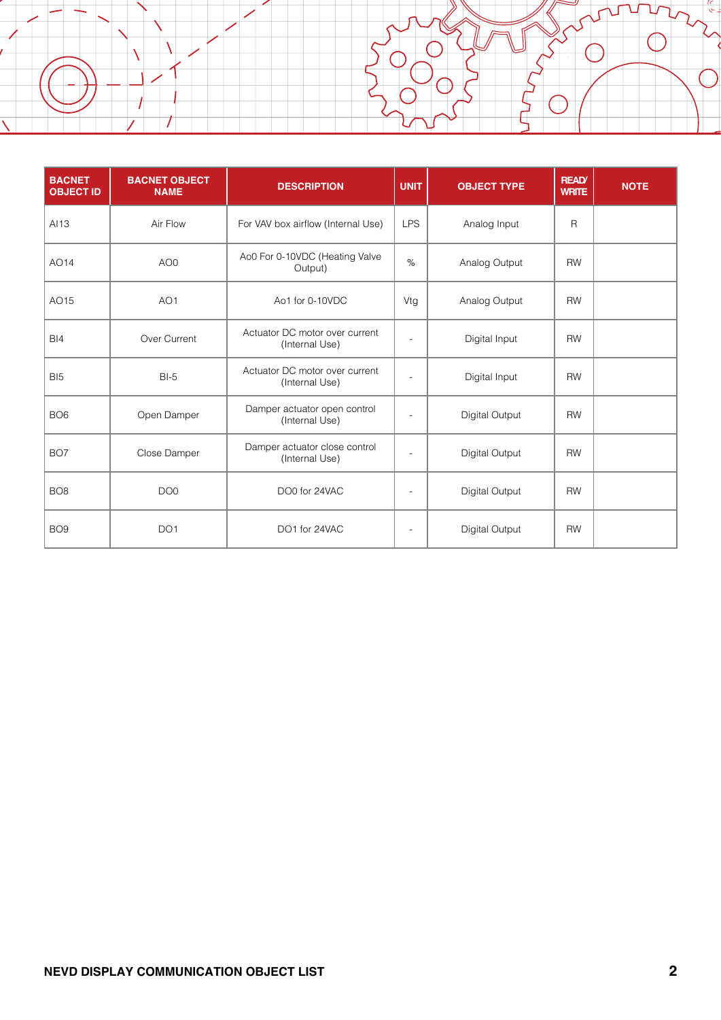l

| <b>BACNET</b><br><b>OBJECT ID</b> | <b>BACNET OBJECT</b><br><b>NAME</b> | <b>DESCRIPTION</b>                               | <b>UNIT</b>    | <b>OBJECT TYPE</b> | <b>READ</b><br><b>WRITE</b> | <b>NOTE</b> |
|-----------------------------------|-------------------------------------|--------------------------------------------------|----------------|--------------------|-----------------------------|-------------|
| AI13                              | Air Flow                            | For VAV box airflow (Internal Use)               | <b>LPS</b>     | Analog Input       | $\mathsf{R}$                |             |
| AO14                              | AO <sub>0</sub>                     | Ao0 For 0-10VDC (Heating Valve<br>Output)        | $\%$           | Analog Output      | <b>RW</b>                   |             |
| AO15                              | AO <sub>1</sub>                     | Ao1 for 0-10VDC                                  | Vtg            | Analog Output      | <b>RW</b>                   |             |
| B <sub>14</sub>                   | Over Current                        | Actuator DC motor over current<br>(Internal Use) | $\overline{a}$ | Digital Input      | <b>RW</b>                   |             |
| BI <sub>5</sub>                   | $BI-5$                              | Actuator DC motor over current<br>(Internal Use) |                | Digital Input      | <b>RW</b>                   |             |
| BO <sub>6</sub>                   | Open Damper                         | Damper actuator open control<br>(Internal Use)   | $\blacksquare$ | Digital Output     | <b>RW</b>                   |             |
| BO <sub>7</sub>                   | Close Damper                        | Damper actuator close control<br>(Internal Use)  |                | Digital Output     | <b>RW</b>                   |             |
| BO <sub>8</sub>                   | DO <sub>0</sub>                     | DO0 for 24VAC                                    | $\blacksquare$ | Digital Output     | <b>RW</b>                   |             |
| BO <sub>9</sub>                   | DO <sub>1</sub>                     | DO1 for 24VAC                                    |                | Digital Output     | <b>RW</b>                   |             |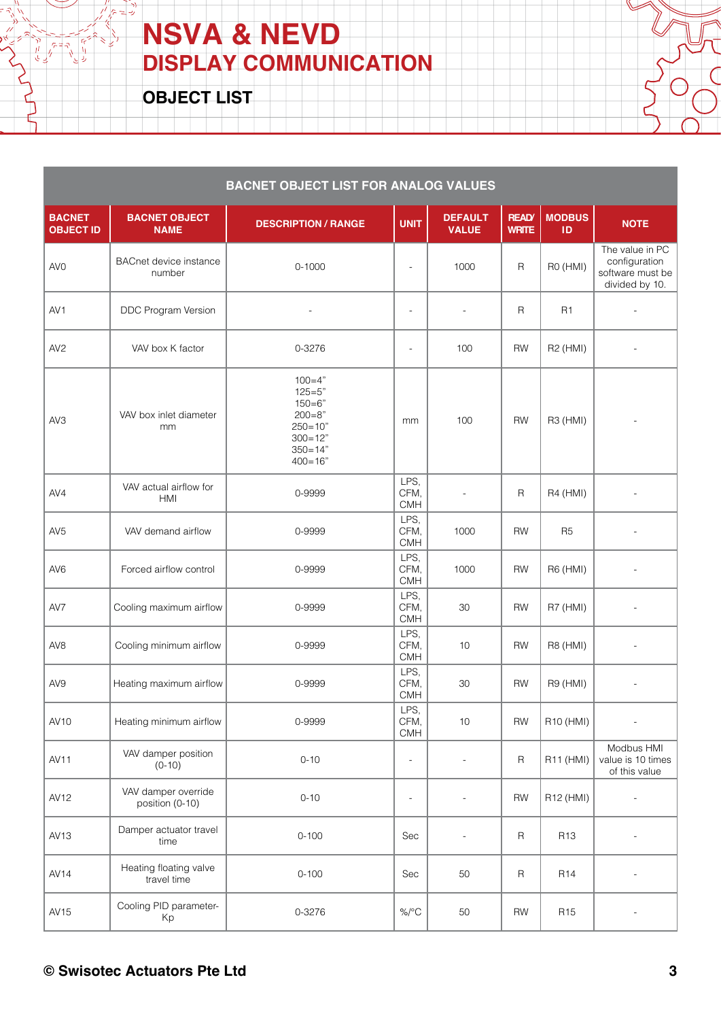**OBJECT LIST**

 $\sqrt{7} = 7$ 

| <b>BACNET OBJECT LIST FOR ANALOG VALUES</b> |                                         |                                                                                                                  |                            |                                |                             |                       |                                                                        |  |
|---------------------------------------------|-----------------------------------------|------------------------------------------------------------------------------------------------------------------|----------------------------|--------------------------------|-----------------------------|-----------------------|------------------------------------------------------------------------|--|
| <b>BACNET</b><br><b>OBJECT ID</b>           | <b>BACNET OBJECT</b><br><b>NAME</b>     | <b>DESCRIPTION / RANGE</b>                                                                                       | <b>UNIT</b>                | <b>DEFAULT</b><br><b>VALUE</b> | <b>READ</b><br><b>WRITE</b> | <b>MODBUS</b><br>ID   | <b>NOTE</b>                                                            |  |
| AV <sub>0</sub>                             | <b>BACnet device instance</b><br>number | $0 - 1000$                                                                                                       | $\overline{a}$             | 1000                           | $\mathsf{R}$                | R0 (HMI)              | The value in PC<br>configuration<br>software must be<br>divided by 10. |  |
| AV <sub>1</sub>                             | DDC Program Version                     | $\overline{a}$                                                                                                   | $\overline{\phantom{a}}$   | $\overline{a}$                 | $\mathsf R$                 | R <sub>1</sub>        | $\overline{\phantom{a}}$                                               |  |
| AV <sub>2</sub>                             | VAV box K factor                        | 0-3276                                                                                                           | $\overline{\phantom{a}}$   | 100                            | <b>RW</b>                   | R <sub>2</sub> (HMI)  |                                                                        |  |
| AV3                                         | VAV box inlet diameter<br>mm            | $100 = 4"$<br>$125 = 5"$<br>$150 = 6"$<br>$200 = 8"$<br>$250 = 10"$<br>$300 = 12"$<br>$350 = 14"$<br>$400 = 16"$ | mm                         | 100                            | <b>RW</b>                   | R3 (HMI)              |                                                                        |  |
| AV4                                         | VAV actual airflow for<br><b>HMI</b>    | 0-9999                                                                                                           | LPS,<br>CFM,<br><b>CMH</b> | $\overline{a}$                 | $\mathsf{R}$                | R4 (HMI)              |                                                                        |  |
| AV <sub>5</sub>                             | VAV demand airflow                      | 0-9999                                                                                                           | LPS,<br>CFM,<br><b>CMH</b> | 1000                           | <b>RW</b>                   | R <sub>5</sub>        |                                                                        |  |
| AV <sub>6</sub>                             | Forced airflow control                  | 0-9999                                                                                                           | LPS,<br>CFM,<br><b>CMH</b> | 1000                           | <b>RW</b>                   | R6 (HMI)              |                                                                        |  |
| AV7                                         | Cooling maximum airflow                 | 0-9999                                                                                                           | LPS,<br>CFM,<br><b>CMH</b> | 30                             | <b>RW</b>                   | R7 (HMI)              | ÷,                                                                     |  |
| AV <sub>8</sub>                             | Cooling minimum airflow                 | 0-9999                                                                                                           | LPS,<br>CFM,<br><b>CMH</b> | 10                             | <b>RW</b>                   | R8 (HMI)              |                                                                        |  |
| AV9                                         | Heating maximum airflow                 | 0-9999                                                                                                           | LPS,<br>CFM,<br><b>CMH</b> | 30                             | <b>RW</b>                   | R9 (HMI)              |                                                                        |  |
| AV10                                        | Heating minimum airflow                 | 0-9999                                                                                                           | LPS,<br>CFM,<br>CMH        | 10                             | <b>RW</b>                   | R <sub>10</sub> (HMI) | $\overline{\phantom{a}}$                                               |  |
| AV11                                        | VAV damper position<br>$(0-10)$         | $0 - 10$                                                                                                         | $\blacksquare$             | $\overline{\phantom{a}}$       | $\mathsf R$                 | R11 (HMI)             | Modbus HMI<br>value is 10 times<br>of this value                       |  |
| AV12                                        | VAV damper override<br>position (0-10)  | $0 - 10$                                                                                                         | $\frac{1}{2}$              | $\overline{a}$                 | RW                          | R12 (HMI)             | $\Box$                                                                 |  |
| AV13                                        | Damper actuator travel<br>time          | $0 - 100$                                                                                                        | Sec                        | $\overline{a}$                 | $\mathsf R$                 | R <sub>13</sub>       |                                                                        |  |
| AV <sub>14</sub>                            | Heating floating valve<br>travel time   | $0 - 100$                                                                                                        | Sec                        | 50                             | $\mathsf R$                 | R <sub>14</sub>       | $\overline{\phantom{a}}$                                               |  |
| AV15                                        | Cooling PID parameter-<br>Kp            | 0-3276                                                                                                           | $\%$ /°C                   | 50                             | RW                          | R <sub>15</sub>       | $\overline{\phantom{a}}$                                               |  |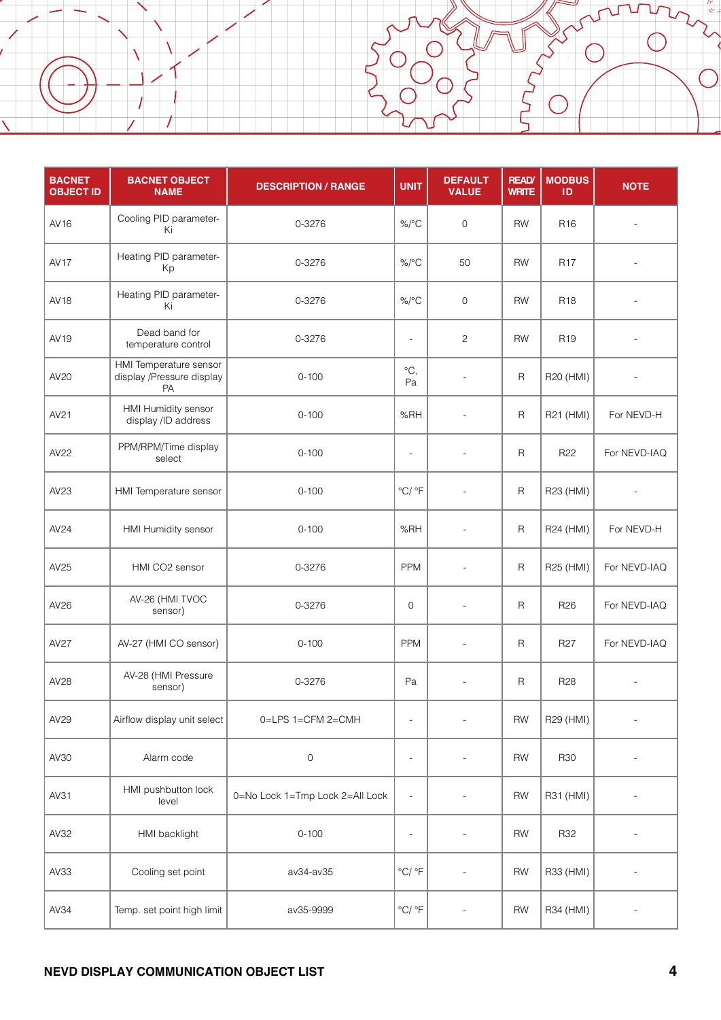| <b>BACNET</b><br><b>OBJECT ID</b> | <b>BACNET OBJECT</b><br><b>NAME</b>                       | <b>DESCRIPTION / RANGE</b>      | <b>UNIT</b>                | <b>DEFAULT</b><br><b>VALUE</b> | <b>READ</b><br><b>WRITE</b> | <b>MODBUS</b><br>ID | <b>NOTE</b>  |
|-----------------------------------|-----------------------------------------------------------|---------------------------------|----------------------------|--------------------------------|-----------------------------|---------------------|--------------|
| AV16                              | Cooling PID parameter-<br>Ki                              | 0-3276                          | $\%$ /°C                   | $\mathsf{O}\xspace$            | <b>RW</b>                   | R <sub>16</sub>     |              |
| AV <sub>17</sub>                  | Heating PID parameter-<br>Kp                              | 0-3276                          | $\%$ /°C                   | 50                             | <b>RW</b>                   | <b>R17</b>          |              |
| AV18                              | Heating PID parameter-<br>Ki                              | 0-3276                          | $\%$ /°C                   | $\mathbf 0$                    | <b>RW</b>                   | R <sub>18</sub>     |              |
| AV19                              | Dead band for<br>temperature control                      | 0-3276                          | $\overline{a}$             | $\overline{c}$                 | <b>RW</b>                   | R <sub>19</sub>     |              |
| AV20                              | HMI Temperature sensor<br>display /Pressure display<br>PA | $0 - 100$                       | $^{\circ}C,$<br>Pa         | $\overline{a}$                 | $\mathsf R$                 | R20 (HMI)           |              |
| AV21                              | HMI Humidity sensor<br>display /ID address                | $0 - 100$                       | %RH                        | $\overline{a}$                 | $\mathsf{R}$                | R21 (HMI)           | For NEVD-H   |
| AV22                              | PPM/RPM/Time display<br>select                            | $0 - 100$                       | $\overline{a}$             | $\overline{a}$                 | $\mathsf R$                 | R <sub>22</sub>     | For NEVD-IAQ |
| AV23                              | HMI Temperature sensor                                    | $0 - 100$                       | $\degree$ C/ $\degree$ F   | $\overline{\phantom{a}}$       | $\mathsf{R}$                | R23 (HMI)           |              |
| AV24                              | HMI Humidity sensor                                       | $0 - 100$                       | %RH                        | $\blacksquare$                 | $\mathsf{R}$                | R24 (HMI)           | For NEVD-H   |
| AV25                              | HMI CO2 sensor                                            | 0-3276                          | PPM                        | $\overline{a}$                 | $\mathsf R$                 | R25 (HMI)           | For NEVD-IAQ |
| AV26                              | AV-26 (HMI TVOC<br>sensor)                                | 0-3276                          | $\mathbf 0$                | $\overline{a}$                 | $\mathsf R$                 | R <sub>26</sub>     | For NEVD-IAQ |
| AV27                              | AV-27 (HMI CO sensor)                                     | $0 - 100$                       | <b>PPM</b>                 | $\overline{\phantom{a}}$       | $\mathsf R$                 | R <sub>27</sub>     | For NEVD-IAQ |
| AV28                              | AV-28 (HMI Pressure<br>sensor)                            | 0-3276                          | Pa                         | $\overline{a}$                 | $\mathsf R$                 | R <sub>28</sub>     |              |
| AV29                              | Airflow display unit select                               | 0=LPS 1=CFM 2=CMH               | $\overline{a}$             | $\overline{a}$                 | ${\sf RW}$                  | R29 (HMI)           |              |
| AV30                              | Alarm code                                                | $\mathsf O$                     | $\overline{a}$             |                                | ${\sf RW}$                  | <b>R30</b>          |              |
| AV31                              | HMI pushbutton lock<br>level                              | 0=No Lock 1=Tmp Lock 2=All Lock | $\blacksquare$             | $\overline{\phantom{0}}$       | ${\sf RW}$                  | R31 (HMI)           |              |
| AV32                              | HMI backlight                                             | $0 - 100$                       | $\overline{\phantom{a}}$   |                                | RW                          | R32                 |              |
| AV33                              | Cooling set point                                         | av34-av35                       | $\mathrm{C}/\mathrm{C}$ F  |                                | RW                          | R33 (HMI)           |              |
| AV34                              | Temp. set point high limit                                | av35-9999                       | $^{\circ}$ C/ $^{\circ}$ F |                                | ${\sf RW}$                  | R34 (HMI)           |              |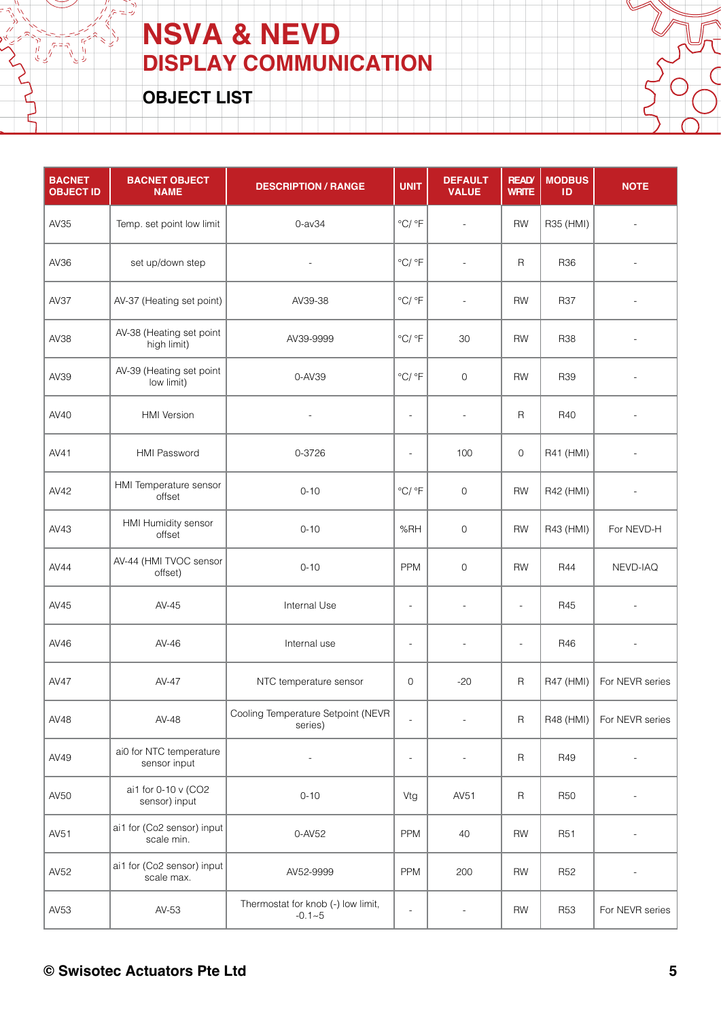**OBJECT LIST**

 $\sqrt{r} = \vec{r}$ 

| <b>BACNET</b><br><b>OBJECT ID</b> | <b>BACNET OBJECT</b><br><b>NAME</b>      | <b>DESCRIPTION / RANGE</b>                       | <b>UNIT</b>                | <b>DEFAULT</b><br><b>VALUE</b> | <b>READ</b><br><b>WRITE</b> | <b>MODBUS</b><br>ID | <b>NOTE</b>              |
|-----------------------------------|------------------------------------------|--------------------------------------------------|----------------------------|--------------------------------|-----------------------------|---------------------|--------------------------|
| AV35                              | Temp. set point low limit                | $0$ -av $34$                                     | $^{\circ}$ C/ $^{\circ}$ F | $\overline{\phantom{a}}$       | <b>RW</b>                   | R35 (HMI)           | $\overline{\phantom{a}}$ |
| AV36                              | set up/down step                         | $\overline{\phantom{a}}$                         | $\mathrm{C}/\mathrm{C}$ F  | $\overline{a}$                 | $\mathsf R$                 | R36                 | $\overline{\phantom{a}}$ |
| AV37                              | AV-37 (Heating set point)                | AV39-38                                          | $\mathrm{C}/\mathrm{C}$ F  | $\overline{\phantom{a}}$       | <b>RW</b>                   | <b>R37</b>          |                          |
| AV38                              | AV-38 (Heating set point<br>high limit)  | AV39-9999                                        | $^{\circ}$ C/ $^{\circ}$ F | 30                             | <b>RW</b>                   | <b>R38</b>          |                          |
| AV39                              | AV-39 (Heating set point<br>low limit)   | 0-AV39                                           | $\mathrm{C}/\mathrm{C}$ F  | $\mathsf{O}$                   | <b>RW</b>                   | R39                 | $\overline{\phantom{a}}$ |
| AV40                              | <b>HMI</b> Version                       | $\frac{1}{2}$                                    | $\overline{\phantom{a}}$   | $\blacksquare$                 | $\mathsf R$                 | R40                 |                          |
| AV41                              | <b>HMI Password</b>                      | 0-3726                                           | $\overline{a}$             | 100                            | 0                           | R41 (HMI)           |                          |
| AV42                              | HMI Temperature sensor<br>offset         | $0 - 10$                                         | $^{\circ}$ C/ $^{\circ}$ F | $\mathsf{O}$                   | <b>RW</b>                   | R42 (HMI)           |                          |
| AV43                              | HMI Humidity sensor<br>offset            | $0 - 10$                                         | %RH                        | $\mathbf 0$                    | <b>RW</b>                   | R43 (HMI)           | For NEVD-H               |
| AV44                              | AV-44 (HMI TVOC sensor<br>offset)        | $0 - 10$                                         | <b>PPM</b>                 | $\mathbf 0$                    | <b>RW</b>                   | <b>R44</b>          | NEVD-IAQ                 |
| AV45                              | AV-45                                    | Internal Use                                     | $\overline{a}$             |                                | $\overline{\phantom{a}}$    | R45                 |                          |
| AV46                              | $AV-46$                                  | Internal use                                     | $\overline{\phantom{a}}$   | $\overline{\phantom{a}}$       | $\overline{\phantom{a}}$    | R46                 |                          |
| <b>AV47</b>                       | AV-47                                    | NTC temperature sensor                           | 0                          | $-20$                          | R                           | R47 (HMI)           | For NEVR series          |
| AV48                              | AV-48                                    | Cooling Temperature Setpoint (NEVR<br>series)    | $\frac{1}{2}$              | $\frac{1}{2}$                  | $\mathsf R$                 | R48 (HMI)           | For NEVR series          |
| AV49                              | ai0 for NTC temperature<br>sensor input  |                                                  | $\overline{\phantom{a}}$   |                                | $\mathsf R$                 | R49                 |                          |
| AV50                              | ai1 for 0-10 v (CO2<br>sensor) input     | $0 - 10$                                         | Vtg                        | AV51                           | R                           | <b>R50</b>          | $\overline{\phantom{a}}$ |
| AV51                              | ai1 for (Co2 sensor) input<br>scale min. | 0-AV52                                           | <b>PPM</b>                 | 40                             | <b>RW</b>                   | R <sub>51</sub>     |                          |
| AV52                              | ai1 for (Co2 sensor) input<br>scale max. | AV52-9999                                        | PPM                        | 200                            | <b>RW</b>                   | R <sub>52</sub>     | $\overline{a}$           |
| AV53                              | AV-53                                    | Thermostat for knob (-) low limit,<br>$-0.1 - 5$ | $\overline{\phantom{a}}$   | $\frac{1}{2}$                  | <b>RW</b>                   | <b>R53</b>          | For NEVR series          |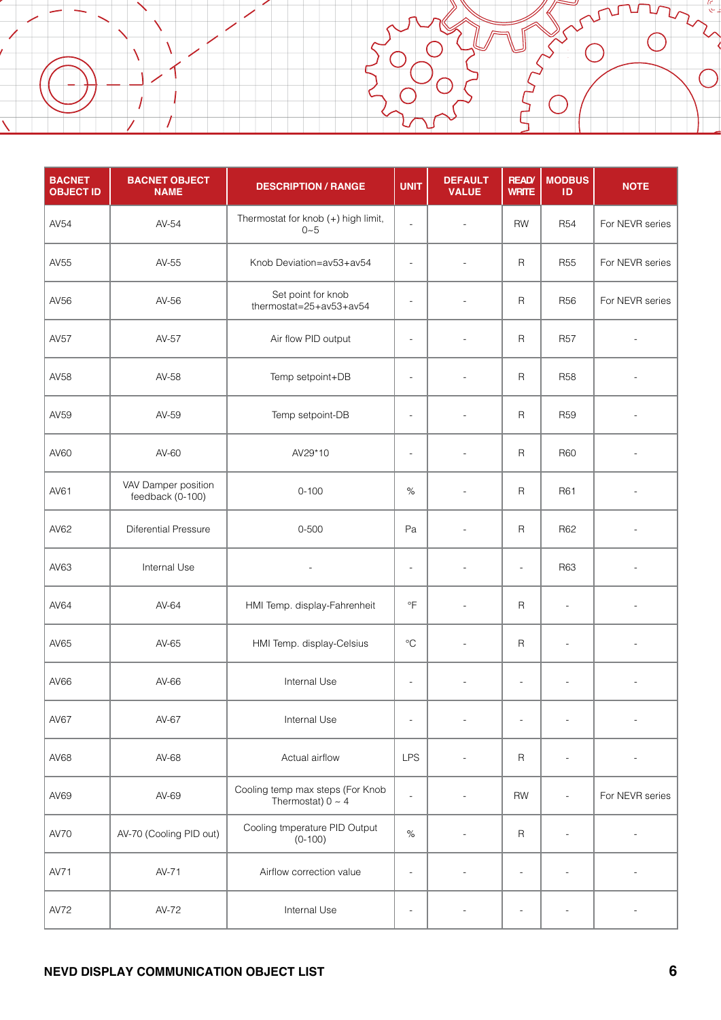Í

ì

| <b>BACNET</b><br><b>OBJECT ID</b> | <b>BACNET OBJECT</b><br><b>NAME</b>     | <b>DESCRIPTION / RANGE</b>                                 | <b>UNIT</b>              | <b>DEFAULT</b><br><b>VALUE</b> | <b>READ</b><br><b>WRITE</b> | <b>MODBUS</b><br>ID      | <b>NOTE</b>     |
|-----------------------------------|-----------------------------------------|------------------------------------------------------------|--------------------------|--------------------------------|-----------------------------|--------------------------|-----------------|
| AV54                              | AV-54                                   | Thermostat for knob (+) high limit,<br>$0 - 5$             | $\overline{\phantom{a}}$ | $\overline{a}$                 | <b>RW</b>                   | <b>R54</b>               | For NEVR series |
| AV55                              | AV-55                                   | Knob Deviation=av53+av54                                   | $\overline{\phantom{a}}$ |                                | $\mathsf R$                 | <b>R55</b>               | For NEVR series |
| AV56                              | AV-56                                   | Set point for knob<br>thermostat=25+av53+av54              | $\overline{a}$           | $\overline{a}$                 | R                           | <b>R56</b>               | For NEVR series |
| AV57                              | AV-57                                   | Air flow PID output                                        | $\overline{\phantom{a}}$ | $\overline{a}$                 | $\mathsf R$                 | <b>R57</b>               |                 |
| AV58                              | AV-58                                   | Temp setpoint+DB                                           | $\overline{\phantom{a}}$ | $\overline{a}$                 | R                           | <b>R58</b>               |                 |
| AV59                              | AV-59                                   | Temp setpoint-DB                                           | $\overline{\phantom{a}}$ | $\overline{a}$                 | R                           | <b>R59</b>               |                 |
| AV60                              | AV-60                                   | AV29*10                                                    | $\overline{\phantom{a}}$ |                                | R                           | <b>R60</b>               |                 |
| AV61                              | VAV Damper position<br>feedback (0-100) | $0 - 100$                                                  | $\%$                     | $\overline{a}$                 | R                           | R61                      |                 |
| AV62                              | <b>Diferential Pressure</b>             | $0 - 500$                                                  | Pa                       | $\overline{a}$                 | $\mathsf R$                 | R62                      |                 |
| AV63                              | Internal Use                            | $\overline{\phantom{a}}$                                   | $\overline{\phantom{a}}$ | $\overline{a}$                 | $\overline{\phantom{a}}$    | R63                      |                 |
| AV64                              | AV-64                                   | HMI Temp. display-Fahrenheit                               | $\overline{F}$           | $\overline{a}$                 | R                           | $\overline{a}$           |                 |
| AV65                              | AV-65                                   | HMI Temp. display-Celsius                                  | $^{\circ}C$              | $\overline{a}$                 | R                           | $\overline{\phantom{a}}$ |                 |
| AV66                              | AV-66                                   | Internal Use                                               | $\overline{\phantom{a}}$ | $\overline{\phantom{a}}$       | $\overline{\phantom{a}}$    | $\overline{\phantom{a}}$ | $\overline{a}$  |
| AV67                              | AV-67                                   | Internal Use                                               | $\overline{a}$           |                                | $\overline{a}$              |                          |                 |
| AV68                              | AV-68                                   | Actual airflow                                             | <b>LPS</b>               |                                | R                           | $\overline{a}$           |                 |
| AV69                              | AV-69                                   | Cooling temp max steps (For Knob<br>Thermostat) $0 \sim 4$ | $\overline{\phantom{a}}$ |                                | <b>RW</b>                   | $\overline{\phantom{a}}$ | For NEVR series |
| AV70                              | AV-70 (Cooling PID out)                 | Cooling tmperature PID Output<br>$(0-100)$                 | $\%$                     |                                | R                           | $\overline{a}$           |                 |
| AV71                              | AV-71                                   | Airflow correction value                                   | $\overline{\phantom{a}}$ |                                | $\overline{\phantom{a}}$    | $\overline{a}$           |                 |
| AV72                              | AV-72                                   | Internal Use                                               | $\overline{\phantom{a}}$ |                                | L,                          |                          |                 |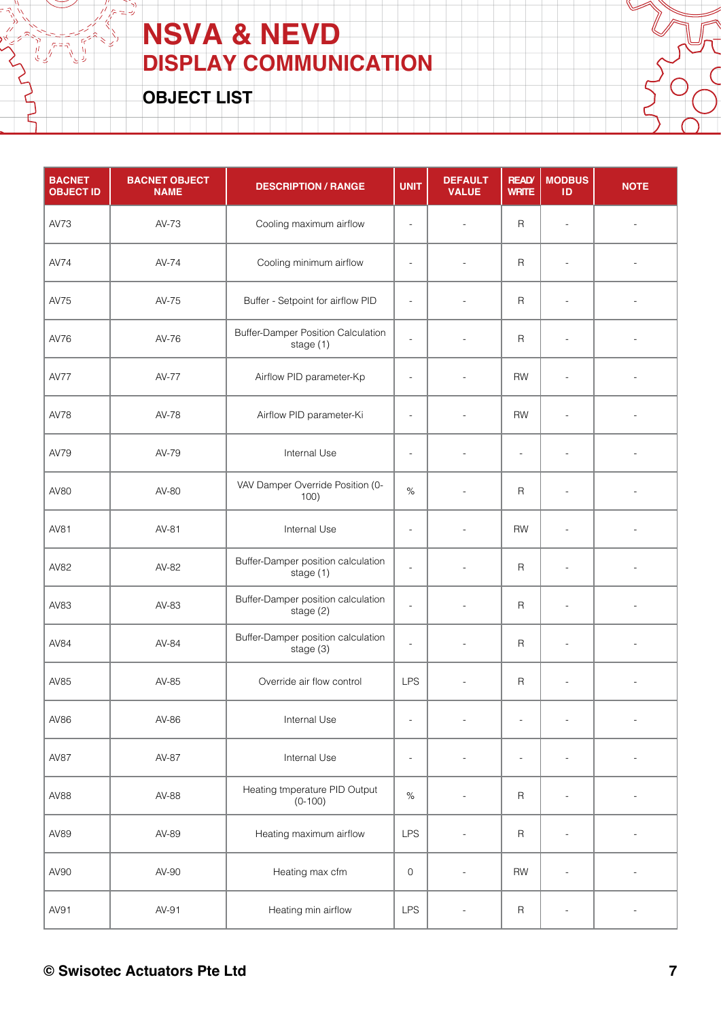**OBJECT LIST**

 $\frac{1}{\sqrt{1}}$   $\frac{1}{\sqrt{1}}$   $\frac{1}{\sqrt{1}}$ 

| <b>BACNET</b><br><b>OBJECT ID</b> | <b>BACNET OBJECT</b><br><b>NAME</b> | <b>DESCRIPTION / RANGE</b>                             | <b>UNIT</b>              | <b>DEFAULT</b><br><b>VALUE</b> | <b>READ</b><br><b>WRITE</b> | <b>MODBUS</b><br>ID      | <b>NOTE</b>              |
|-----------------------------------|-------------------------------------|--------------------------------------------------------|--------------------------|--------------------------------|-----------------------------|--------------------------|--------------------------|
| AV73                              | AV-73                               | Cooling maximum airflow                                | $\overline{\phantom{a}}$ | $\overline{a}$                 | $\mathsf{R}$                | $\overline{\phantom{a}}$ | $\overline{\phantom{a}}$ |
| <b>AV74</b>                       | AV-74                               | Cooling minimum airflow                                | $\overline{\phantom{a}}$ | $\overline{a}$                 | $\mathsf R$                 | $\overline{a}$           |                          |
| AV75                              | AV-75                               | Buffer - Setpoint for airflow PID                      | $\overline{\phantom{a}}$ |                                | $\mathsf R$                 | $\overline{a}$           |                          |
| AV76                              | AV-76                               | <b>Buffer-Damper Position Calculation</b><br>stage (1) | $\frac{1}{2}$            |                                | $\mathsf R$                 | $\overline{a}$           |                          |
| <b>AV77</b>                       | AV-77                               | Airflow PID parameter-Kp                               | $\blacksquare$           | $\overline{\phantom{a}}$       | <b>RW</b>                   | $\overline{\phantom{a}}$ | $\overline{\phantom{a}}$ |
| <b>AV78</b>                       | AV-78                               | Airflow PID parameter-Ki                               | $\overline{\phantom{a}}$ | $\overline{a}$                 | <b>RW</b>                   | $\blacksquare$           |                          |
| AV79                              | AV-79                               | Internal Use                                           | $\overline{\phantom{a}}$ |                                | $\overline{a}$              | $\overline{\phantom{a}}$ |                          |
| AV80                              | AV-80                               | VAV Damper Override Position (0-<br>100)               | $\%$                     | $\overline{\phantom{a}}$       | $\mathsf R$                 | $\overline{a}$           |                          |
| AV81                              | AV-81                               | Internal Use                                           | $\overline{\phantom{a}}$ | $\overline{a}$                 | <b>RW</b>                   | $\overline{\phantom{a}}$ | $\overline{\phantom{a}}$ |
| AV82                              | AV-82                               | Buffer-Damper position calculation<br>stage (1)        | $\overline{a}$           | $\overline{\phantom{a}}$       | $\mathsf R$                 | $\overline{a}$           |                          |
| AV83                              | AV-83                               | Buffer-Damper position calculation<br>stage (2)        | $\bar{\phantom{a}}$      | $\overline{a}$                 | $\mathsf R$                 | $\overline{a}$           |                          |
| AV84                              | AV-84                               | Buffer-Damper position calculation<br>stage (3)        | $\overline{a}$           |                                | R                           | $\overline{a}$           |                          |
| AV85                              | AV-85                               | Override air flow control                              | <b>LPS</b>               | $\overline{a}$                 | R                           | $\overline{a}$           | $\overline{a}$           |
| AV86                              | AV-86                               | Internal Use                                           | $\overline{a}$           | $\overline{a}$                 | $\overline{\phantom{a}}$    | $\overline{a}$           | $\overline{\phantom{a}}$ |
| <b>AV87</b>                       | AV-87                               | Internal Use                                           | $\overline{\phantom{a}}$ |                                | $\blacksquare$              | $\overline{a}$           |                          |
| AV88                              | AV-88                               | Heating tmperature PID Output<br>$(0-100)$             | $\%$                     |                                | R                           | $\overline{a}$           |                          |
| AV89                              | AV-89                               | Heating maximum airflow                                | <b>LPS</b>               |                                | R                           | $\overline{a}$           |                          |
| AV90                              | AV-90                               | Heating max cfm                                        | $\mathsf{O}\xspace$      | $\overline{\phantom{a}}$       | <b>RW</b>                   | $\overline{\phantom{a}}$ | $\overline{\phantom{a}}$ |
| AV91                              | AV-91                               | Heating min airflow                                    | LPS                      |                                | $\mathsf R$                 | $\overline{a}$           |                          |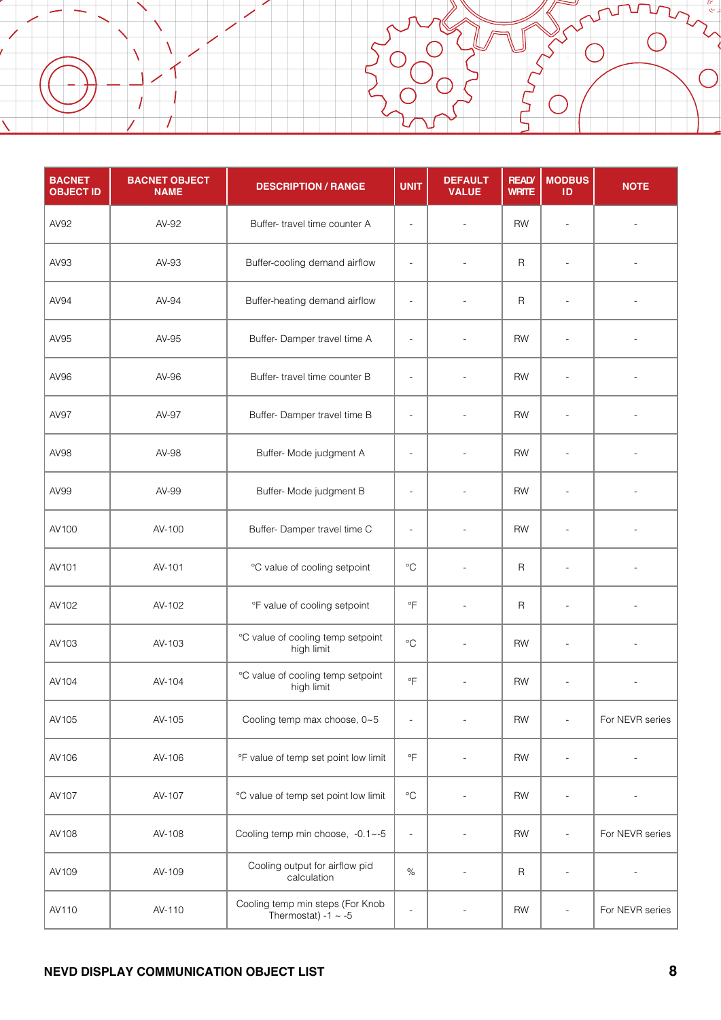| <b>BACNET</b><br><b>OBJECT ID</b> | <b>BACNET OBJECT</b><br><b>NAME</b> | <b>DESCRIPTION / RANGE</b>                                   | <b>UNIT</b>              | <b>DEFAULT</b><br><b>VALUE</b> | <b>READ</b><br><b>WRITE</b> | <b>MODBUS</b><br>ID      | <b>NOTE</b>     |
|-----------------------------------|-------------------------------------|--------------------------------------------------------------|--------------------------|--------------------------------|-----------------------------|--------------------------|-----------------|
| AV92                              | AV-92                               | Buffer-travel time counter A                                 | $\overline{\phantom{a}}$ | $\overline{a}$                 | <b>RW</b>                   | $\overline{\phantom{a}}$ |                 |
| AV93                              | AV-93                               | Buffer-cooling demand airflow                                | $\overline{\phantom{a}}$ | $\overline{a}$                 | $\mathsf{R}$                | $\overline{a}$           |                 |
| AV94                              | AV-94                               | Buffer-heating demand airflow                                | $\overline{\phantom{a}}$ |                                | R                           | $\overline{a}$           |                 |
| AV95                              | AV-95                               | Buffer-Damper travel time A                                  | $\overline{\phantom{a}}$ |                                | <b>RW</b>                   | $\overline{a}$           |                 |
| AV96                              | AV-96                               | Buffer-travel time counter B                                 | $\overline{\phantom{a}}$ | $\overline{a}$                 | RW                          | $\overline{\phantom{a}}$ |                 |
| <b>AV97</b>                       | AV-97                               | Buffer-Damper travel time B                                  | $\overline{\phantom{a}}$ |                                | <b>RW</b>                   | $\overline{a}$           |                 |
| AV98                              | AV-98                               | Buffer- Mode judgment A                                      | $\overline{\phantom{a}}$ |                                | <b>RW</b>                   | ÷,                       |                 |
| AV99                              | AV-99                               | Buffer- Mode judgment B                                      | $\overline{\phantom{a}}$ |                                | <b>RW</b>                   | $\overline{a}$           |                 |
| AV100                             | AV-100                              | Buffer-Damper travel time C                                  | $\overline{\phantom{a}}$ | $\overline{a}$                 | <b>RW</b>                   | $\blacksquare$           |                 |
| AV101                             | AV-101                              | °C value of cooling setpoint                                 | $^{\circ}C$              | $\overline{a}$                 | R                           | $\overline{a}$           |                 |
| AV102                             | AV-102                              | °F value of cooling setpoint                                 | $\overline{F}$           | $\overline{a}$                 | R                           | $\overline{a}$           |                 |
| AV103                             | AV-103                              | °C value of cooling temp setpoint<br>high limit              | $\rm ^{\circ}C$          |                                | <b>RW</b>                   | $\overline{\phantom{a}}$ |                 |
| AV104                             | AV-104                              | °C value of cooling temp setpoint<br>high limit              | °F                       | $\overline{\phantom{a}}$       | <b>RW</b>                   | $\overline{\phantom{a}}$ |                 |
| AV105                             | AV-105                              | Cooling temp max choose, 0~5                                 | $\overline{\phantom{a}}$ | $\overline{a}$                 | <b>RW</b>                   | $\blacksquare$           | For NEVR series |
| AV106                             | AV-106                              | °F value of temp set point low limit                         | $\,{}^{\circ}\!F$        |                                | <b>RW</b>                   | $\overline{a}$           |                 |
| AV107                             | AV-107                              | °C value of temp set point low limit                         | $^{\circ}C$              |                                | <b>RW</b>                   | $\overline{\phantom{a}}$ |                 |
| AV108                             | AV-108                              | Cooling temp min choose, -0.1~-5                             | $\overline{\phantom{a}}$ |                                | <b>RW</b>                   | $\overline{\phantom{a}}$ | For NEVR series |
| AV109                             | AV-109                              | Cooling output for airflow pid<br>calculation                | $\%$                     |                                | $\mathsf R$                 | $\overline{\phantom{a}}$ |                 |
| AV110                             | AV-110                              | Cooling temp min steps (For Knob<br>Thermostat) -1 $\sim$ -5 | $\overline{\phantom{a}}$ |                                | <b>RW</b>                   | $\overline{\phantom{a}}$ | For NEVR series |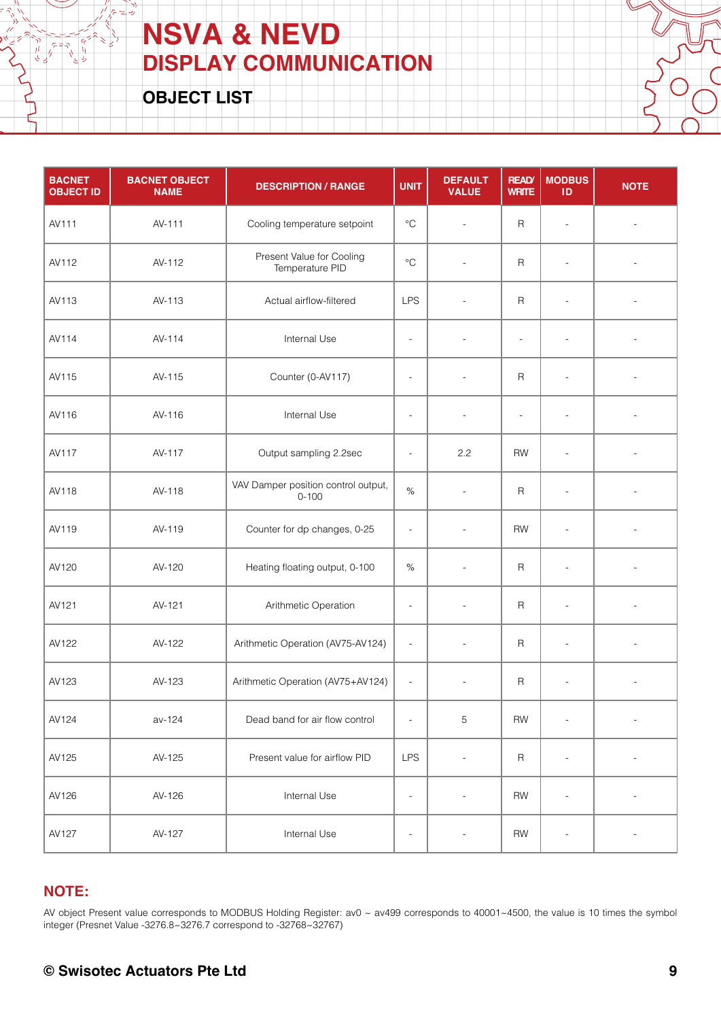**OBJECT LIST**

اد<br>رب 7 L,

 $\frac{1}{2}$ 

 $\begin{array}{c}\n\sqrt[3]{\frac{1}{2}} \\
\sqrt[3]{\frac{1}{2}} \\
\sqrt[3]{\frac{1}{2}} \\
\sqrt[3]{\frac{1}{2}} \\
\sqrt[3]{\frac{1}{2}} \\
\sqrt[3]{\frac{1}{2}} \\
\sqrt[3]{\frac{1}{2}} \\
\sqrt[3]{\frac{1}{2}} \\
\sqrt[3]{\frac{1}{2}} \\
\sqrt[3]{\frac{1}{2}} \\
\sqrt[3]{\frac{1}{2}} \\
\sqrt[3]{\frac{1}{2}} \\
\sqrt[3]{\frac{1}{2}} \\
\sqrt[3]{\frac{1}{2}} \\
\sqrt[3]{\frac{1}{2}} \\
\sqrt[3]{\frac{1}{2}} \\
\sqrt[3$ 

| <b>BACNET</b><br><b>OBJECT ID</b> | <b>BACNET OBJECT</b><br><b>NAME</b> | <b>DESCRIPTION / RANGE</b>                       | <b>UNIT</b>              | <b>DEFAULT</b><br><b>VALUE</b> | <b>READ</b><br><b>WRITE</b> | <b>MODBUS</b><br>ID      | <b>NOTE</b>              |
|-----------------------------------|-------------------------------------|--------------------------------------------------|--------------------------|--------------------------------|-----------------------------|--------------------------|--------------------------|
| AV111                             | AV-111                              | Cooling temperature setpoint                     | $\rm ^{\circ}C$          | $\blacksquare$                 | $\mathsf R$                 | $\overline{\phantom{a}}$ |                          |
| AV112                             | AV-112                              | Present Value for Cooling<br>Temperature PID     | $\rm ^{\circ}C$          | $\overline{a}$                 | $\mathsf{R}$                | ÷,                       |                          |
| AV113                             | AV-113                              | Actual airflow-filtered                          | <b>LPS</b>               | $\overline{\phantom{a}}$       | $\mathsf R$                 | $\overline{\phantom{a}}$ |                          |
| AV114                             | AV-114                              | Internal Use                                     | $\frac{1}{2}$            | $\overline{a}$                 | $\overline{\phantom{a}}$    | $\overline{\phantom{a}}$ |                          |
| AV115                             | AV-115                              | Counter (0-AV117)                                | $\overline{\phantom{a}}$ | $\overline{\phantom{a}}$       | $\mathsf R$                 | $\overline{a}$           | $\overline{\phantom{a}}$ |
| AV116                             | AV-116                              | Internal Use                                     | $\overline{\phantom{a}}$ | $\overline{\phantom{a}}$       | $\frac{1}{2}$               | $\overline{a}$           |                          |
| AV117                             | AV-117                              | Output sampling 2.2sec                           | $\overline{\phantom{a}}$ | 2.2                            | <b>RW</b>                   | $\overline{\phantom{a}}$ |                          |
| AV118                             | AV-118                              | VAV Damper position control output,<br>$0 - 100$ | $\%$                     | $\blacksquare$                 | $\mathsf{R}$                | $\overline{\phantom{a}}$ | $\overline{\phantom{a}}$ |
| AV119                             | AV-119                              | Counter for dp changes, 0-25                     | $\overline{\phantom{a}}$ | $\overline{\phantom{a}}$       | <b>RW</b>                   | $\overline{\phantom{a}}$ |                          |
| AV120                             | AV-120                              | Heating floating output, 0-100                   | %                        | $\overline{a}$                 | $\mathsf{R}$                | $\blacksquare$           |                          |
| AV121                             | AV-121                              | Arithmetic Operation                             | $\overline{\phantom{a}}$ | $\blacksquare$                 | $\mathsf{R}$                | $\overline{\phantom{a}}$ |                          |
| AV122                             | AV-122                              | Arithmetic Operation (AV75-AV124)                | $\blacksquare$           | $\overline{\phantom{a}}$       | $\mathsf{R}$                | $\overline{\phantom{a}}$ | $\overline{\phantom{a}}$ |
| AV123                             | AV-123                              | Arithmetic Operation (AV75+AV124)                | $\overline{\phantom{a}}$ | $\blacksquare$                 | $\mathsf R$                 | $\overline{\phantom{a}}$ | $\overline{\phantom{a}}$ |
| AV124                             | av-124                              | Dead band for air flow control                   | $\overline{a}$           | 5                              | <b>RW</b>                   | $\overline{a}$           | $\blacksquare$           |
| AV125                             | AV-125                              | Present value for airflow PID                    | <b>LPS</b>               | $\overline{a}$                 | $\mathsf R$                 | $\overline{a}$           |                          |
| AV126                             | AV-126                              | Internal Use                                     | $\overline{\phantom{a}}$ | $\overline{a}$                 | <b>RW</b>                   | $\overline{\phantom{a}}$ | $\overline{\phantom{m}}$ |
| AV127                             | AV-127                              | Internal Use                                     | $\qquad \qquad -$        | $\overline{\phantom{a}}$       | RW                          | $\overline{\phantom{a}}$ | $\overline{\phantom{m}}$ |

#### **NOTE:**

AV object Present value corresponds to MODBUS Holding Register: av0 ~ av499 corresponds to 40001~4500, the value is 10 times the symbol integer (Presnet Value -3276.8~3276.7 correspond to -32768~32767)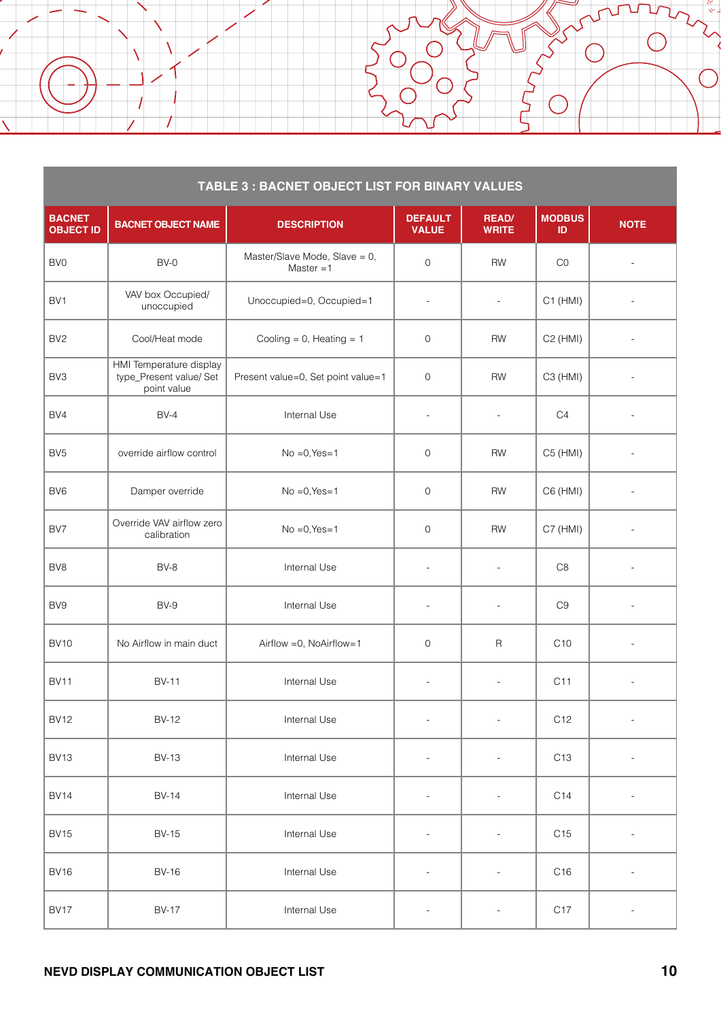| TABLE 3 : BACNET OBJECT LIST FOR BINARY VALUES |                                                                   |                                              |                                |                              |                      |                          |  |
|------------------------------------------------|-------------------------------------------------------------------|----------------------------------------------|--------------------------------|------------------------------|----------------------|--------------------------|--|
| <b>BACNET</b><br><b>OBJECT ID</b>              | <b>BACNET OBJECT NAME</b>                                         | <b>DESCRIPTION</b>                           | <b>DEFAULT</b><br><b>VALUE</b> | <b>READ/</b><br><b>WRITE</b> | <b>MODBUS</b><br>ID  | <b>NOTE</b>              |  |
| BV <sub>0</sub>                                | $BV-0$                                                            | Master/Slave Mode, Slave = 0,<br>Master $=1$ | $\mathbf{O}$                   | <b>RW</b>                    | CO                   | $\overline{\phantom{a}}$ |  |
| BV <sub>1</sub>                                | VAV box Occupied/<br>unoccupied                                   | Unoccupied=0, Occupied=1                     | $\overline{a}$                 | $\overline{\phantom{a}}$     | $C1$ (HMI)           |                          |  |
| BV <sub>2</sub>                                | Cool/Heat mode                                                    | Cooling = $0$ , Heating = $1$                | 0                              | <b>RW</b>                    | C <sub>2</sub> (HMI) |                          |  |
| BV <sub>3</sub>                                | HMI Temperature display<br>type_Present value/ Set<br>point value | Present value=0, Set point value=1           | $\mathbf 0$                    | <b>RW</b>                    | C3 (HMI)             |                          |  |
| BV4                                            | $BV-4$                                                            | Internal Use                                 | $\blacksquare$                 | $\overline{\phantom{a}}$     | C <sub>4</sub>       | $\overline{\phantom{a}}$ |  |
| BV <sub>5</sub>                                | override airflow control                                          | $No = 0, Yes = 1$                            | $\overline{0}$                 | <b>RW</b>                    | C5 (HMI)             | $\sim$                   |  |
| BV <sub>6</sub>                                | Damper override                                                   | $No = 0, Yes = 1$                            | $\overline{0}$                 | <b>RW</b>                    | $C6$ (HMI)           |                          |  |
| BV7                                            | Override VAV airflow zero<br>calibration                          | $No = 0, Yes = 1$                            | $\overline{0}$                 | <b>RW</b>                    | C7 (HMI)             |                          |  |
| BV <sub>8</sub>                                | BV-8                                                              | Internal Use                                 | $\blacksquare$                 | $\overline{a}$               | C <sub>8</sub>       | $\overline{\phantom{a}}$ |  |
| BV9                                            | BV-9                                                              | Internal Use                                 | $\overline{a}$                 | $\overline{a}$               | C <sub>9</sub>       |                          |  |
| <b>BV10</b>                                    | No Airflow in main duct                                           | Airflow = 0, NoAirflow=1                     | $\mathbf 0$                    | $\mathsf R$                  | C <sub>10</sub>      | $\sim$                   |  |
| <b>BV11</b>                                    | <b>BV-11</b>                                                      | Internal Use                                 | $\overline{\phantom{a}}$       | $\sim$                       | C <sub>11</sub>      | $\overline{a}$           |  |
| <b>BV12</b>                                    | <b>BV-12</b>                                                      | Internal Use                                 | $\overline{a}$                 | $\overline{a}$               | C <sub>12</sub>      | $\overline{\phantom{a}}$ |  |
| <b>BV13</b>                                    | <b>BV-13</b>                                                      | Internal Use                                 | $\overline{\phantom{0}}$       |                              | C <sub>13</sub>      |                          |  |
| <b>BV14</b>                                    | <b>BV-14</b>                                                      | Internal Use                                 |                                |                              | C <sub>14</sub>      |                          |  |
| <b>BV15</b>                                    | <b>BV-15</b>                                                      | Internal Use                                 | $\overline{\phantom{a}}$       |                              | C <sub>15</sub>      | $\overline{\phantom{a}}$ |  |
| <b>BV16</b>                                    | <b>BV-16</b>                                                      | Internal Use                                 |                                |                              | C <sub>16</sub>      | $\blacksquare$           |  |
| <b>BV17</b>                                    | <b>BV-17</b>                                                      | Internal Use                                 |                                | $\qquad \qquad -$            | C <sub>17</sub>      |                          |  |

7

 $\Box$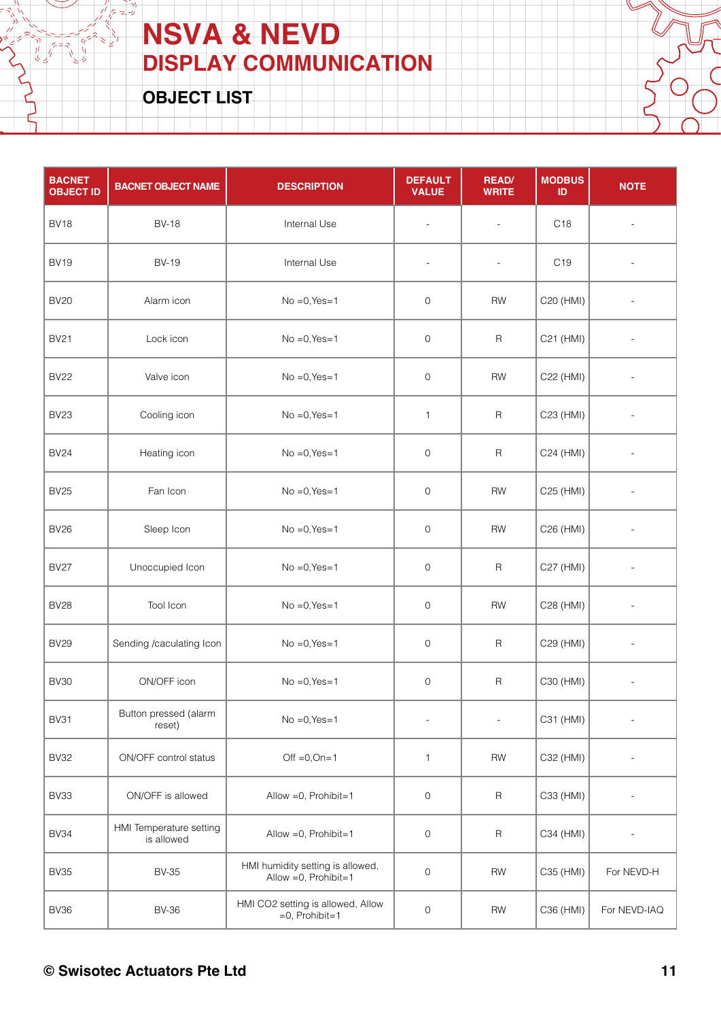**OBJECT LIST**

 $\frac{\partial}{\partial t}$   $\frac{\partial}{\partial t} = \frac{\partial}{\partial x}$ 

Ŋ زدان

| <b>BACNET</b><br><b>OBJECT ID</b> | <b>BACNET OBJECT NAME</b>             | <b>DESCRIPTION</b>                                        | <b>DEFAULT</b><br><b>VALUE</b> | <b>READ/</b><br><b>WRITE</b> | <b>MODBUS</b><br>ID | <b>NOTE</b>              |
|-----------------------------------|---------------------------------------|-----------------------------------------------------------|--------------------------------|------------------------------|---------------------|--------------------------|
| <b>BV18</b>                       | <b>BV-18</b>                          | Internal Use                                              | $\blacksquare$                 | $\overline{\phantom{a}}$     | C <sub>18</sub>     |                          |
| <b>BV19</b>                       | <b>BV-19</b>                          | Internal Use                                              | $\blacksquare$                 | $\overline{\phantom{a}}$     | C <sub>19</sub>     |                          |
| <b>BV20</b>                       | Alarm icon                            | $No = 0, Yes = 1$                                         | $\mathsf{O}\xspace$            | <b>RW</b>                    | C20 (HMI)           |                          |
| <b>BV21</b>                       | Lock icon                             | $No = 0, Yes = 1$                                         | 0                              | $\mathsf R$                  | C21 (HMI)           |                          |
| <b>BV22</b>                       | Valve icon                            | $No = 0, Yes = 1$                                         | $\mathsf{O}\xspace$            | <b>RW</b>                    | C22 (HMI)           |                          |
| <b>BV23</b>                       | Cooling icon                          | $No = 0, Yes = 1$                                         | $\mathbf{1}$                   | $\mathsf R$                  | C23 (HMI)           |                          |
| <b>BV24</b>                       | Heating icon                          | $No = 0, Yes = 1$                                         | $\mathbf 0$                    | $\mathsf R$                  | C24 (HMI)           |                          |
| <b>BV25</b>                       | Fan Icon                              | $No = 0, Yes = 1$                                         | $\mathsf{O}\xspace$            | RW                           | C25 (HMI)           |                          |
| <b>BV26</b>                       | Sleep Icon                            | $No = 0, Yes = 1$                                         | $\mathbf 0$                    | RW                           | C26 (HMI)           |                          |
| <b>BV27</b>                       | Unoccupied Icon                       | $No = 0, Yes = 1$                                         | $\mathsf{O}\xspace$            | $\mathsf R$                  | C27 (HMI)           |                          |
| <b>BV28</b>                       | Tool Icon                             | $No = 0, Yes = 1$                                         | $\mathsf{O}\xspace$            | RW                           | C28 (HMI)           |                          |
| <b>BV29</b>                       | Sending /caculating Icon              | $No = 0, Yes = 1$                                         | 0                              | $\mathsf R$                  | C29 (HMI)           | $\overline{\phantom{a}}$ |
| <b>BV30</b>                       | ON/OFF icon                           | $No = 0, Yes = 1$                                         | 0                              | $\mathsf R$                  | C30 (HMI)           | $\overline{\phantom{a}}$ |
| <b>BV31</b>                       | Button pressed (alarm<br>reset)       | $No = 0, Yes = 1$                                         |                                | $\overline{\phantom{a}}$     | C31 (HMI)           | $\overline{\phantom{a}}$ |
| <b>BV32</b>                       | ON/OFF control status                 | Off $=0,$ On=1                                            | $\mathbf{1}$                   | RW                           | C32 (HMI)           |                          |
| <b>BV33</b>                       | ON/OFF is allowed                     | Allow = 0, Prohibit=1                                     | 0                              | $\mathsf R$                  | C33 (HMI)           |                          |
| <b>BV34</b>                       | HMI Temperature setting<br>is allowed | Allow = 0, Prohibit=1                                     | $\mathsf{O}$                   | $\sf R$                      | C34 (HMI)           |                          |
| <b>BV35</b>                       | <b>BV-35</b>                          | HMI humidity setting is allowed,<br>Allow = 0, Prohibit=1 | $\mathsf{O}\xspace$            | <b>RW</b>                    | C35 (HMI)           | For NEVD-H               |
| <b>BV36</b>                       | <b>BV-36</b>                          | HMI CO2 setting is allowed, Allow<br>$=0$ , Prohibit=1    | $\mathsf{O}\xspace$            | RW                           | C36 (HMI)           | For NEVD-IAQ             |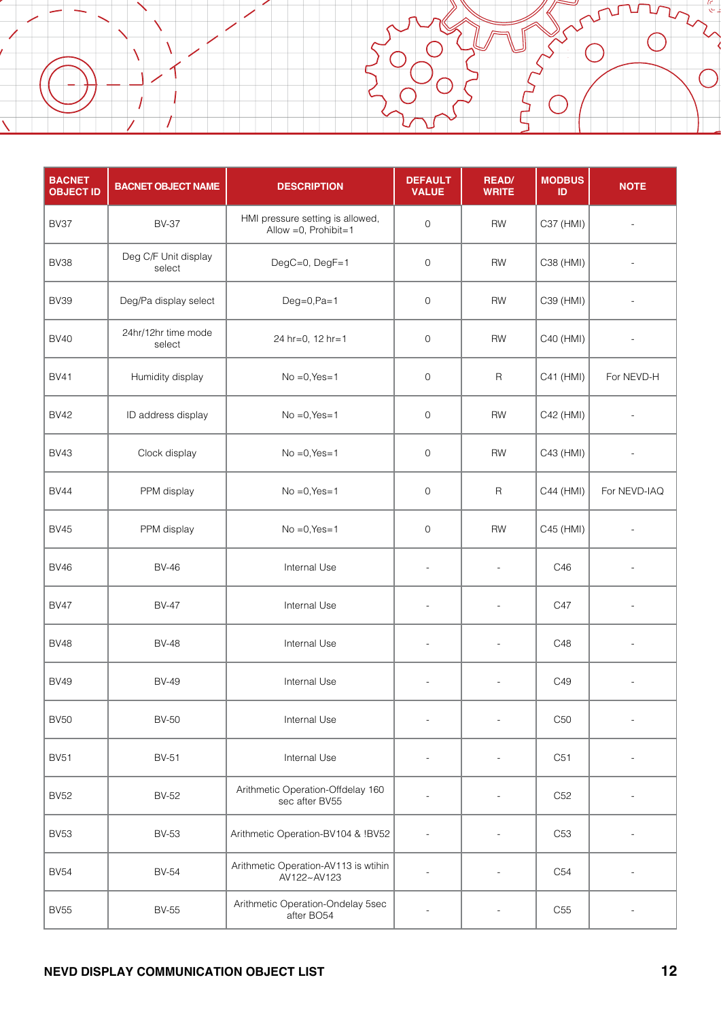| <b>BACNET</b><br><b>OBJECT ID</b> | <b>BACNET OBJECT NAME</b>      | <b>DESCRIPTION</b>                                        | <b>DEFAULT</b><br><b>VALUE</b> | <b>READ/</b><br><b>WRITE</b> | <b>MODBUS</b><br>ID | <b>NOTE</b>              |
|-----------------------------------|--------------------------------|-----------------------------------------------------------|--------------------------------|------------------------------|---------------------|--------------------------|
| BV37                              | <b>BV-37</b>                   | HMI pressure setting is allowed,<br>Allow = 0, Prohibit=1 | $\mathsf{O}\xspace$            | <b>RW</b>                    | C37 (HMI)           |                          |
| <b>BV38</b>                       | Deg C/F Unit display<br>select | DegC=0, DegF=1                                            | 0                              | <b>RW</b>                    | C38 (HMI)           |                          |
| <b>BV39</b>                       | Deg/Pa display select          | $Deg=0, Pa=1$                                             | 0                              | <b>RW</b>                    | C39 (HMI)           |                          |
| <b>BV40</b>                       | 24hr/12hr time mode<br>select  | 24 hr=0, 12 hr=1                                          | $\mathbf{O}$                   | <b>RW</b>                    | C40 (HMI)           |                          |
| <b>BV41</b>                       | Humidity display               | $No = 0, Yes = 1$                                         | 0                              | $\mathsf R$                  | C41 (HMI)           | For NEVD-H               |
| <b>BV42</b>                       | ID address display             | $No = 0, Yes = 1$                                         | 0                              | <b>RW</b>                    | C42 (HMI)           | $\overline{a}$           |
| <b>BV43</b>                       | Clock display                  | $No = 0, Yes = 1$                                         | 0                              | <b>RW</b>                    | C43 (HMI)           | $\overline{\phantom{a}}$ |
| <b>BV44</b>                       | PPM display                    | $No = 0, Yes = 1$                                         | 0                              | $\mathsf R$                  | C44 (HMI)           | For NEVD-IAQ             |
| <b>BV45</b>                       | PPM display                    | $No = 0, Yes = 1$                                         | $\mathsf{O}\xspace$            | <b>RW</b>                    | C45 (HMI)           | $\overline{\phantom{a}}$ |
| <b>BV46</b>                       | <b>BV-46</b>                   | Internal Use                                              | $\overline{a}$                 | $\overline{a}$               | C46                 |                          |
| <b>BV47</b>                       | <b>BV-47</b>                   | Internal Use                                              | $\overline{\phantom{a}}$       | $\overline{\phantom{a}}$     | C47                 |                          |
| <b>BV48</b>                       | <b>BV-48</b>                   | Internal Use                                              | $\overline{\phantom{a}}$       | $\overline{\phantom{a}}$     | C48                 | $\overline{\phantom{a}}$ |
| <b>BV49</b>                       | <b>BV-49</b>                   | Internal Use                                              | $\overline{\phantom{a}}$       | $\overline{\phantom{a}}$     | C49                 |                          |
| <b>BV50</b>                       | <b>BV-50</b>                   | Internal Use                                              |                                | $\sim$                       | C50                 | $\overline{a}$           |
| <b>BV51</b>                       | <b>BV-51</b>                   | Internal Use                                              |                                |                              | C51                 |                          |
| <b>BV52</b>                       | <b>BV-52</b>                   | Arithmetic Operation-Offdelay 160<br>sec after BV55       | $\overline{a}$                 | L.                           | C <sub>52</sub>     |                          |
| <b>BV53</b>                       | <b>BV-53</b>                   | Arithmetic Operation-BV104 & !BV52                        | $\overline{a}$                 |                              | C <sub>53</sub>     |                          |
| <b>BV54</b>                       | <b>BV-54</b>                   | Arithmetic Operation-AV113 is wtihin<br>AV122~AV123       |                                |                              | C <sub>54</sub>     |                          |
| <b>BV55</b>                       | <b>BV-55</b>                   | Arithmetic Operation-Ondelay 5sec<br>after BO54           |                                |                              | C <sub>55</sub>     |                          |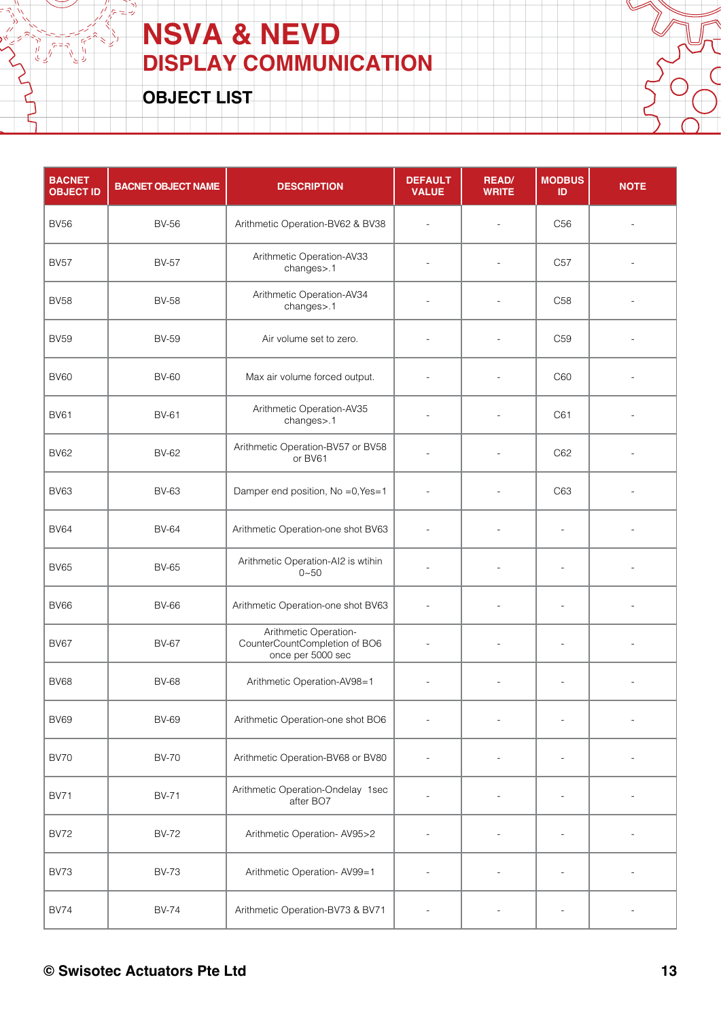**OBJECT LIST**

 $7 = 7$ 

| <b>BACNET</b><br><b>OBJECT ID</b> | <b>BACNET OBJECT NAME</b> | <b>DESCRIPTION</b>                                                          | <b>DEFAULT</b><br><b>VALUE</b> | <b>READ/</b><br><b>WRITE</b> | <b>MODBUS</b><br>ID      | <b>NOTE</b>              |
|-----------------------------------|---------------------------|-----------------------------------------------------------------------------|--------------------------------|------------------------------|--------------------------|--------------------------|
| <b>BV56</b>                       | <b>BV-56</b>              | Arithmetic Operation-BV62 & BV38                                            | $\overline{\phantom{a}}$       | $\overline{a}$               | C <sub>56</sub>          |                          |
| <b>BV57</b>                       | <b>BV-57</b>              | Arithmetic Operation-AV33<br>changes>.1                                     |                                |                              | C <sub>57</sub>          |                          |
| <b>BV58</b>                       | <b>BV-58</b>              | Arithmetic Operation-AV34<br>changes>.1                                     |                                | $\overline{a}$               | C <sub>58</sub>          |                          |
| <b>BV59</b>                       | <b>BV-59</b>              | Air volume set to zero.                                                     |                                |                              | C <sub>59</sub>          |                          |
| <b>BV60</b>                       | <b>BV-60</b>              | Max air volume forced output.                                               |                                | $\overline{a}$               | C60                      |                          |
| <b>BV61</b>                       | <b>BV-61</b>              | Arithmetic Operation-AV35<br>changes>.1                                     |                                | $\overline{a}$               | C61                      |                          |
| <b>BV62</b>                       | <b>BV-62</b>              | Arithmetic Operation-BV57 or BV58<br>or BV61                                |                                |                              | C62                      |                          |
| <b>BV63</b>                       | <b>BV-63</b>              | Damper end position, No =0, Yes=1                                           | $\overline{a}$                 | $\overline{\phantom{a}}$     | C63                      |                          |
| <b>BV64</b>                       | <b>BV-64</b>              | Arithmetic Operation-one shot BV63                                          | $\overline{\phantom{a}}$       | ÷,                           | $\overline{\phantom{a}}$ |                          |
| <b>BV65</b>                       | <b>BV-65</b>              | Arithmetic Operation-AI2 is wtihin<br>$0 - 50$                              |                                | $\overline{a}$               | $\overline{a}$           |                          |
| <b>BV66</b>                       | <b>BV-66</b>              | Arithmetic Operation-one shot BV63                                          | $\overline{\phantom{a}}$       |                              | $\overline{a}$           |                          |
| <b>BV67</b>                       | <b>BV-67</b>              | Arithmetic Operation-<br>CounterCountCompletion of BO6<br>once per 5000 sec | $\overline{\phantom{a}}$       | $\overline{\phantom{a}}$     | $\overline{\phantom{a}}$ |                          |
| <b>BV68</b>                       | <b>BV-68</b>              | Arithmetic Operation-AV98=1                                                 | $\overline{\phantom{a}}$       | $\overline{\phantom{a}}$     | $\overline{\phantom{a}}$ | $\overline{\phantom{a}}$ |
| <b>BV69</b>                       | <b>BV-69</b>              | Arithmetic Operation-one shot BO6                                           |                                |                              |                          |                          |
| <b>BV70</b>                       | <b>BV-70</b>              | Arithmetic Operation-BV68 or BV80                                           |                                |                              |                          |                          |
| <b>BV71</b>                       | <b>BV-71</b>              | Arithmetic Operation-Ondelay 1sec<br>after BO7                              |                                | $\overline{a}$               | $\overline{a}$           |                          |
| <b>BV72</b>                       | <b>BV-72</b>              | Arithmetic Operation-AV95>2                                                 |                                |                              | $\overline{a}$           |                          |
| <b>BV73</b>                       | <b>BV-73</b>              | Arithmetic Operation-AV99=1                                                 |                                |                              | $\overline{a}$           |                          |
| <b>BV74</b>                       | <b>BV-74</b>              | Arithmetic Operation-BV73 & BV71                                            |                                |                              |                          |                          |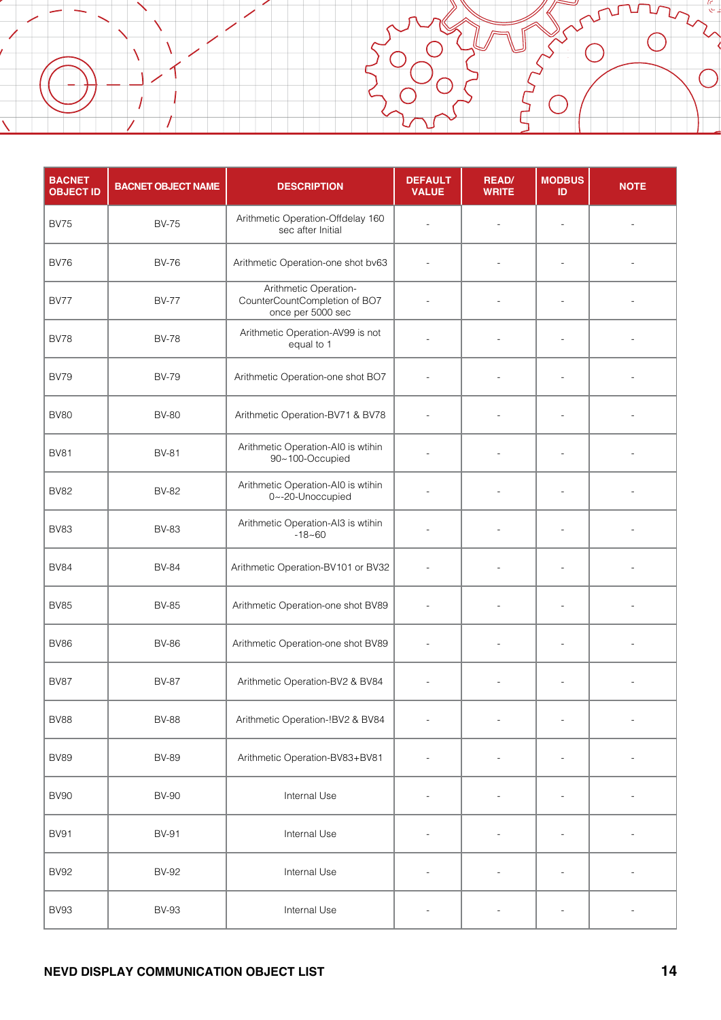| <b>BACNET</b><br><b>OBJECT ID</b> | <b>BACNET OBJECT NAME</b> | <b>DESCRIPTION</b>                                                          | <b>DEFAULT</b><br><b>VALUE</b> | <b>READ/</b><br><b>WRITE</b> | <b>MODBUS</b><br>ID      | <b>NOTE</b> |
|-----------------------------------|---------------------------|-----------------------------------------------------------------------------|--------------------------------|------------------------------|--------------------------|-------------|
| <b>BV75</b>                       | <b>BV-75</b>              | Arithmetic Operation-Offdelay 160<br>sec after Initial                      |                                |                              | $\overline{a}$           |             |
| <b>BV76</b>                       | <b>BV-76</b>              | Arithmetic Operation-one shot bv63                                          |                                |                              |                          |             |
| <b>BV77</b>                       | <b>BV-77</b>              | Arithmetic Operation-<br>CounterCountCompletion of BO7<br>once per 5000 sec |                                |                              | $\overline{\phantom{a}}$ |             |
| <b>BV78</b>                       | <b>BV-78</b>              | Arithmetic Operation-AV99 is not<br>equal to 1                              |                                |                              |                          |             |
| <b>BV79</b>                       | <b>BV-79</b>              | Arithmetic Operation-one shot BO7                                           |                                |                              |                          |             |
| <b>BV80</b>                       | <b>BV-80</b>              | Arithmetic Operation-BV71 & BV78                                            |                                |                              |                          |             |
| <b>BV81</b>                       | <b>BV-81</b>              | Arithmetic Operation-AI0 is wtihin<br>90~100-Occupied                       |                                | $\overline{\phantom{a}}$     | $\overline{\phantom{a}}$ |             |
| <b>BV82</b>                       | <b>BV-82</b>              | Arithmetic Operation-AI0 is wtihin<br>0~-20-Unoccupied                      |                                |                              |                          |             |
| <b>BV83</b>                       | <b>BV-83</b>              | Arithmetic Operation-AI3 is wtihin<br>$-18 - 60$                            |                                |                              |                          |             |
| <b>BV84</b>                       | <b>BV-84</b>              | Arithmetic Operation-BV101 or BV32                                          |                                |                              |                          |             |
| <b>BV85</b>                       | <b>BV-85</b>              | Arithmetic Operation-one shot BV89                                          |                                |                              | $\overline{a}$           |             |
| <b>BV86</b>                       | <b>BV-86</b>              | Arithmetic Operation-one shot BV89                                          | $\overline{\phantom{a}}$       |                              | $\overline{a}$           |             |
| <b>BV87</b>                       | <b>BV-87</b>              | Arithmetic Operation-BV2 & BV84                                             |                                |                              | $\overline{a}$           |             |
| <b>BV88</b>                       | <b>BV-88</b>              | Arithmetic Operation-!BV2 & BV84                                            |                                |                              |                          |             |
| <b>BV89</b>                       | <b>BV-89</b>              | Arithmetic Operation-BV83+BV81                                              |                                |                              | $\overline{\phantom{a}}$ |             |
| <b>BV90</b>                       | <b>BV-90</b>              | Internal Use                                                                |                                |                              | $\overline{\phantom{a}}$ |             |
| <b>BV91</b>                       | <b>BV-91</b>              | Internal Use                                                                |                                |                              |                          |             |
| <b>BV92</b>                       | <b>BV-92</b>              | Internal Use                                                                |                                |                              |                          |             |
| <b>BV93</b>                       | <b>BV-93</b>              | Internal Use                                                                |                                |                              |                          |             |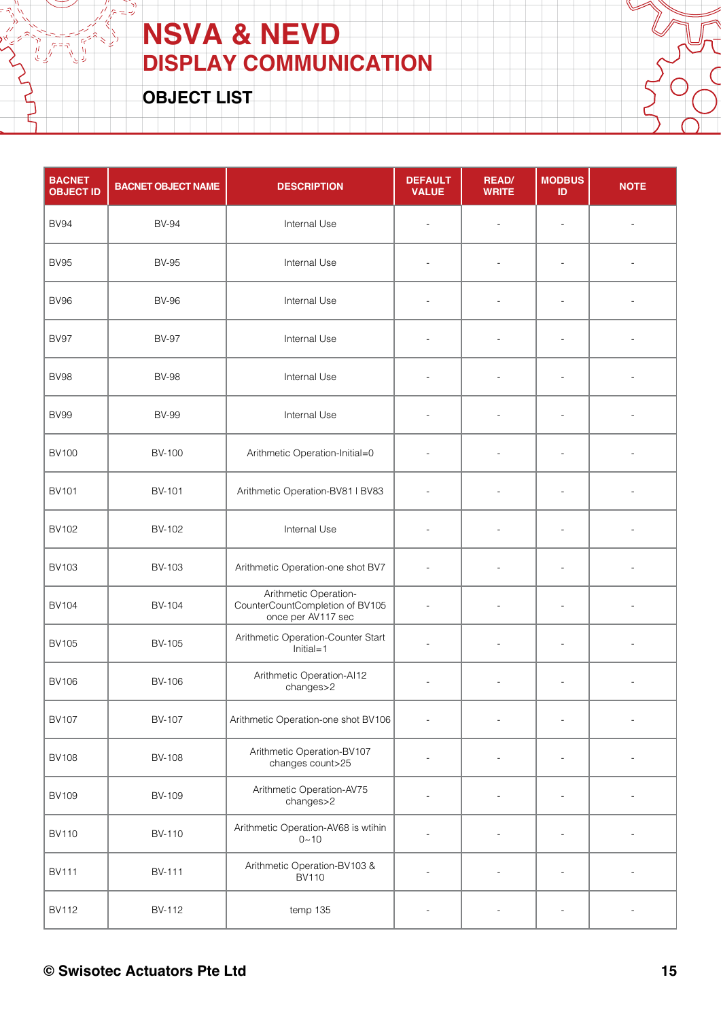**OBJECT LIST**

 $7 = 7$ 

| <b>BACNET</b><br><b>OBJECT ID</b> | <b>BACNET OBJECT NAME</b> | <b>DESCRIPTION</b>                                                             | <b>DEFAULT</b><br><b>VALUE</b> | <b>READ/</b><br><b>WRITE</b> | <b>MODBUS</b><br>ID      | <b>NOTE</b>              |
|-----------------------------------|---------------------------|--------------------------------------------------------------------------------|--------------------------------|------------------------------|--------------------------|--------------------------|
| <b>BV94</b>                       | <b>BV-94</b>              | Internal Use                                                                   | $\overline{a}$                 | $\blacksquare$               | $\overline{a}$           |                          |
| <b>BV95</b>                       | <b>BV-95</b>              | Internal Use                                                                   | $\overline{a}$                 |                              |                          |                          |
| <b>BV96</b>                       | <b>BV-96</b>              | Internal Use                                                                   | $\overline{\phantom{a}}$       |                              | $\overline{a}$           |                          |
| <b>BV97</b>                       | <b>BV-97</b>              | Internal Use                                                                   | $\overline{a}$                 |                              | $\overline{a}$           |                          |
| <b>BV98</b>                       | <b>BV-98</b>              | Internal Use                                                                   | $\overline{\phantom{a}}$       | $\overline{a}$               | $\overline{a}$           |                          |
| <b>BV99</b>                       | <b>BV-99</b>              | Internal Use                                                                   | $\overline{\phantom{a}}$       |                              |                          |                          |
| <b>BV100</b>                      | <b>BV-100</b>             | Arithmetic Operation-Initial=0                                                 | $\overline{a}$                 |                              |                          |                          |
| <b>BV101</b>                      | <b>BV-101</b>             | Arithmetic Operation-BV81   BV83                                               | $\overline{a}$                 | $\overline{a}$               | $\overline{a}$           |                          |
| <b>BV102</b>                      | <b>BV-102</b>             | Internal Use                                                                   | $\overline{\phantom{a}}$       | $\overline{a}$               | $\overline{\phantom{a}}$ |                          |
| <b>BV103</b>                      | BV-103                    | Arithmetic Operation-one shot BV7                                              | $\overline{a}$                 | $\overline{a}$               | $\overline{a}$           |                          |
| <b>BV104</b>                      | <b>BV-104</b>             | Arithmetic Operation-<br>CounterCountCompletion of BV105<br>once per AV117 sec | $\overline{a}$                 |                              | $\overline{a}$           |                          |
| <b>BV105</b>                      | <b>BV-105</b>             | Arithmetic Operation-Counter Start<br>$Initial=1$                              | $\overline{a}$                 | $\overline{\phantom{a}}$     | $\overline{a}$           | $\overline{a}$           |
| <b>BV106</b>                      | <b>BV-106</b>             | Arithmetic Operation-AI12<br>changes>2                                         | $\blacksquare$                 | $\overline{a}$               | $\overline{\phantom{a}}$ | $\overline{\phantom{a}}$ |
| <b>BV107</b>                      | <b>BV-107</b>             | Arithmetic Operation-one shot BV106                                            | $\overline{\phantom{a}}$       | $\overline{a}$               | $\overline{a}$           | $\blacksquare$           |
| <b>BV108</b>                      | BV-108                    | Arithmetic Operation-BV107<br>changes count>25                                 |                                |                              |                          |                          |
| <b>BV109</b>                      | BV-109                    | Arithmetic Operation-AV75<br>changes>2                                         | $\overline{\phantom{a}}$       | $\overline{\phantom{a}}$     | $\overline{a}$           | $\overline{a}$           |
| <b>BV110</b>                      | <b>BV-110</b>             | Arithmetic Operation-AV68 is wtihin<br>$0 - 10$                                |                                |                              | $\overline{a}$           | ÷,                       |
| <b>BV111</b>                      | <b>BV-111</b>             | Arithmetic Operation-BV103 &<br><b>BV110</b>                                   |                                |                              | $\overline{a}$           |                          |
| <b>BV112</b>                      | BV-112                    | temp 135                                                                       |                                |                              |                          |                          |